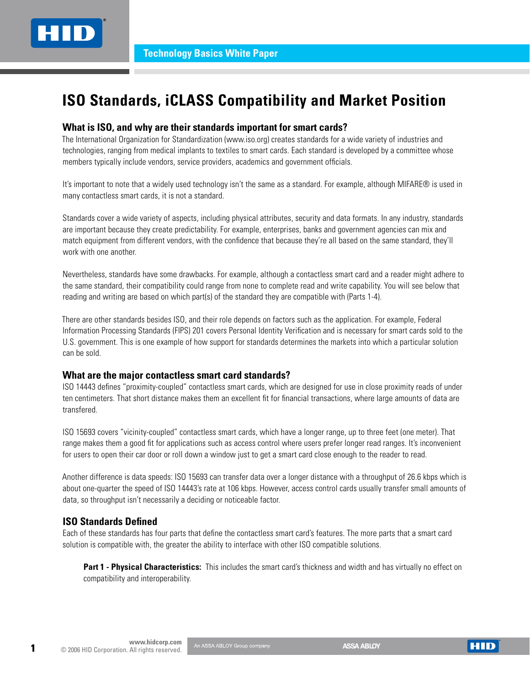# **ISO Standards, iCLASS Compatibility and Market Position**

#### **What is ISO, and why are their standards important for smart cards?**

The International Organization for Standardization (www.iso.org) creates standards for a wide variety of industries and technologies, ranging from medical implants to textiles to smart cards. Each standard is developed by a committee whose members typically include vendors, service providers, academics and government officials.

It's important to note that a widely used technology isn't the same as a standard. For example, although MIFARE® is used in many contactless smart cards, it is not a standard.

Standards cover a wide variety of aspects, including physical attributes, security and data formats. In any industry, standards are important because they create predictability. For example, enterprises, banks and government agencies can mix and match equipment from different vendors, with the confidence that because they're all based on the same standard, they'll work with one another.

Nevertheless, standards have some drawbacks. For example, although a contactless smart card and a reader might adhere to the same standard, their compatibility could range from none to complete read and write capability. You will see below that reading and writing are based on which part(s) of the standard they are compatible with (Parts 1-4).

There are other standards besides ISO, and their role depends on factors such as the application. For example, Federal Information Processing Standards (FIPS) 201 covers Personal Identity Verification and is necessary for smart cards sold to the U.S. government. This is one example of how support for standards determines the markets into which a particular solution can be sold.

#### **What are the major contactless smart card standards?**

ISO 14443 defines "proximity-coupled" contactless smart cards, which are designed for use in close proximity reads of under ten centimeters. That short distance makes them an excellent fit for financial transactions, where large amounts of data are transfered.

ISO 15693 covers "vicinity-coupled" contactless smart cards, which have a longer range, up to three feet (one meter). That range makes them a good fit for applications such as access control where users prefer longer read ranges. It's inconvenient for users to open their car door or roll down a window just to get a smart card close enough to the reader to read.

Another difference is data speeds: ISO 15693 can transfer data over a longer distance with a throughput of 26.6 kbps which is about one-quarter the speed of ISO 14443's rate at 106 kbps. However, access control cards usually transfer small amounts of data, so throughput isn't necessarily a deciding or noticeable factor.

# **ISO Standards Defined**

Each of these standards has four parts that define the contactless smart card's features. The more parts that a smart card solution is compatible with, the greater the ability to interface with other ISO compatible solutions.

**Part 1 - Physical Characteristics:** This includes the smart card's thickness and width and has virtually no effect on compatibility and interoperability.

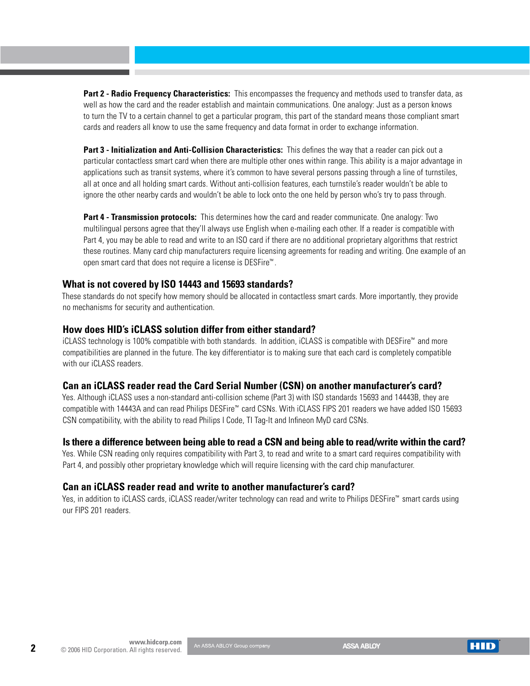**Part 2 - Radio Frequency Characteristics:** This encompasses the frequency and methods used to transfer data, as well as how the card and the reader establish and maintain communications. One analogy: Just as a person knows to turn the TV to a certain channel to get a particular program, this part of the standard means those compliant smart cards and readers all know to use the same frequency and data format in order to exchange information.

**Part 3 - Initialization and Anti-Collision Characteristics:** This defines the way that a reader can pick out a particular contactless smart card when there are multiple other ones within range. This ability is a major advantage in applications such as transit systems, where it's common to have several persons passing through a line of turnstiles, all at once and all holding smart cards. Without anti-collision features, each turnstile's reader wouldn't be able to ignore the other nearby cards and wouldn't be able to lock onto the one held by person who's try to pass through.

**Part 4 - Transmission protocols:** This determines how the card and reader communicate. One analogy: Two multilingual persons agree that they'll always use English when e-mailing each other. If a reader is compatible with Part 4, you may be able to read and write to an ISO card if there are no additional proprietary algorithms that restrict these routines. Many card chip manufacturers require licensing agreements for reading and writing. One example of an open smart card that does not require a license is DESFire™ .

#### **What is not covered by ISO 14443 and 15693 standards?**

These standards do not specify how memory should be allocated in contactless smart cards. More importantly, they provide no mechanisms for security and authentication.

#### **How does HID's iCLASS solution differ from either standard?**

iCLASS technology is 100% compatible with both standards. In addition, iCLASS is compatible with DESFire™ and more compatibilities are planned in the future. The key differentiator is to making sure that each card is completely compatible with our *iCLASS* readers.

# **Can an iCLASS reader read the Card Serial Number (CSN) on another manufacturer's card?**

Yes. Although iCLASS uses a non-standard anti-collision scheme (Part 3) with ISO standards 15693 and 14443B, they are compatible with 14443A and can read Philips DESFire™ card CSNs. With iCLASS FIPS 201 readers we have added ISO 15693 CSN compatibility, with the ability to read Philips I Code, TI Tag-It and Infineon MyD card CSNs.

# **Is there a difference between being able to read a CSN and being able to read/write within the card?**

Yes. While CSN reading only requires compatibility with Part 3, to read and write to a smart card requires compatibility with Part 4, and possibly other proprietary knowledge which will require licensing with the card chip manufacturer.

#### **Can an iCLASS reader read and write to another manufacturer's card?**

Yes, in addition to iCLASS cards, iCLASS reader/writer technology can read and write to Philips DESFire™ smart cards using our FIPS 201 readers.